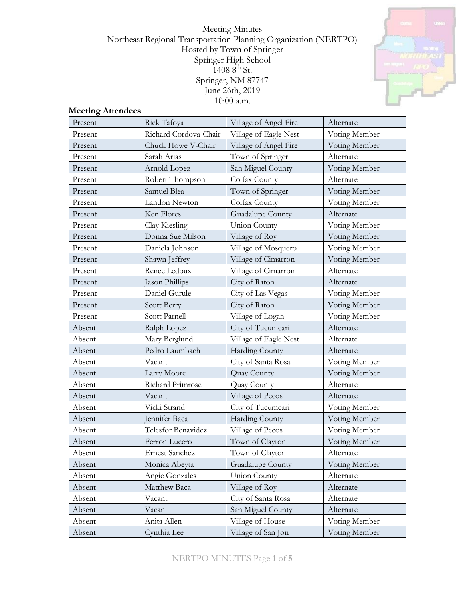Meeting Minutes Northeast Regional Transportation Planning Organization (NERTPO) Hosted by Town of Springer Springer High School 1408 8th St. Springer, NM 87747 June 26th, 2019 10:00 a.m.



#### **Meeting Attendees**

| Present | Rick Tafoya           | Village of Angel Fire | Alternate     |
|---------|-----------------------|-----------------------|---------------|
| Present | Richard Cordova-Chair | Village of Eagle Nest | Voting Member |
| Present | Chuck Howe V-Chair    | Village of Angel Fire | Voting Member |
| Present | Sarah Arias           | Town of Springer      | Alternate     |
| Present | Arnold Lopez          | San Miguel County     | Voting Member |
| Present | Robert Thompson       | Colfax County         | Alternate     |
| Present | Samuel Blea           | Town of Springer      | Voting Member |
| Present | Landon Newton         | Colfax County         | Voting Member |
| Present | Ken Flores            | Guadalupe County      | Alternate     |
| Present | Clay Kiesling         | <b>Union County</b>   | Voting Member |
| Present | Donna Sue Milson      | Village of Roy        | Voting Member |
| Present | Daniela Johnson       | Village of Mosquero   | Voting Member |
| Present | Shawn Jeffrey         | Village of Cimarron   | Voting Member |
| Present | Renee Ledoux          | Village of Cimarron   | Alternate     |
| Present | Jason Phillips        | City of Raton         | Alternate     |
| Present | Daniel Gurule         | City of Las Vegas     | Voting Member |
| Present | Scott Berry           | City of Raton         | Voting Member |
| Present | Scott Parnell         | Village of Logan      | Voting Member |
| Absent  | Ralph Lopez           | City of Tucumcari     | Alternate     |
| Absent  | Mary Berglund         | Village of Eagle Nest | Alternate     |
| Absent  | Pedro Laumbach        | Harding County        | Alternate     |
| Absent  | Vacant                | City of Santa Rosa    | Voting Member |
| Absent  | Larry Moore           | Quay County           | Voting Member |
| Absent  | Richard Primrose      | Quay County           | Alternate     |
| Absent  | Vacant                | Village of Pecos      | Alternate     |
| Absent  | Vicki Strand          | City of Tucumcari     | Voting Member |
| Absent  | Jennifer Baca         | Harding County        | Voting Member |
| Absent  | Telesfor Benavidez    | Village of Pecos      | Voting Member |
| Absent  | Ferron Lucero         | Town of Clayton       | Voting Member |
| Absent  | <b>Ernest Sanchez</b> | Town of Clayton       | Alternate     |
| Absent  | Monica Abeyta         | Guadalupe County      | Voting Member |
| Absent  | Angie Gonzales        | Union County          | Alternate     |
| Absent  | Matthew Baca          | Village of Roy        | Alternate     |
| Absent  | Vacant                | City of Santa Rosa    | Alternate     |
| Absent  | Vacant                | San Miguel County     | Alternate     |
| Absent  | Anita Allen           | Village of House      | Voting Member |
| Absent  | Cynthia Lee           | Village of San Jon    | Voting Member |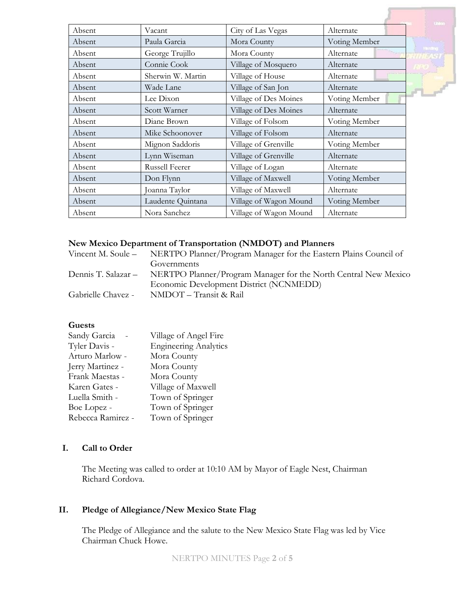| Absent | Vacant            | City of Las Vegas      | Alternate     |
|--------|-------------------|------------------------|---------------|
| Absent | Paula Garcia      | Mora County            | Voting Member |
| Absent | George Trujillo   | Mora County            | Alternate     |
| Absent | Connie Cook       | Village of Mosquero    | Alternate     |
| Absent | Sherwin W. Martin | Village of House       | Alternate     |
| Absent | Wade Lane         | Village of San Jon     | Alternate     |
| Absent | Lee Dixon         | Village of Des Moines  | Voting Member |
| Absent | Scott Warner      | Village of Des Moines  | Alternate     |
| Absent | Diane Brown       | Village of Folsom      | Voting Member |
| Absent | Mike Schoonover   | Village of Folsom      | Alternate     |
| Absent | Mignon Saddoris   | Village of Grenville   | Voting Member |
| Absent | Lynn Wiseman      | Village of Grenville   | Alternate     |
| Absent | Russell Feerer    | Village of Logan       | Alternate     |
| Absent | Don Flynn         | Village of Maxwell     | Voting Member |
| Absent | Joanna Taylor     | Village of Maxwell     | Alternate     |
| Absent | Laudente Quintana | Village of Wagon Mound | Voting Member |
| Absent | Nora Sanchez      | Village of Wagon Mound | Alternate     |

# **New Mexico Department of Transportation (NMDOT) and Planners**

|                     | Vincent M. Soule - NERTPO Planner/Program Manager for the Eastern Plains Council of |
|---------------------|-------------------------------------------------------------------------------------|
|                     | Governments                                                                         |
| Dennis T. Salazar – | NERTPO Planner/Program Manager for the North Central New Mexico                     |
|                     | Economic Development District (NCNMEDD)                                             |
| Gabrielle Chavez -  | NMDOT – Transit & Rail                                                              |

#### **Guests**

| Sandy Garcia      | Village of Angel Fire        |
|-------------------|------------------------------|
| Tyler Davis -     | <b>Engineering Analytics</b> |
| Arturo Marlow -   | Mora County                  |
| Jerry Martinez -  | Mora County                  |
| Frank Maestas -   | Mora County                  |
| Karen Gates -     | Village of Maxwell           |
| Luella Smith -    | Town of Springer             |
| Boe Lopez -       | Town of Springer             |
| Rebecca Ramirez - | Town of Springer             |

# **I. Call to Order**

The Meeting was called to order at 10:10 AM by Mayor of Eagle Nest, Chairman Richard Cordova.

# **II. Pledge of Allegiance/New Mexico State Flag**

The Pledge of Allegiance and the salute to the New Mexico State Flag was led by Vice Chairman Chuck Howe.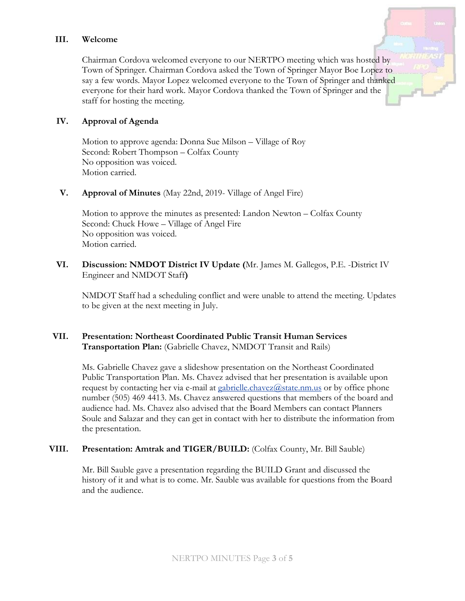## **III. Welcome**

Chairman Cordova welcomed everyone to our NERTPO meeting which was hosted by Town of Springer. Chairman Cordova asked the Town of Springer Mayor Boe Lopez to say a few words. Mayor Lopez welcomed everyone to the Town of Springer and thanked everyone for their hard work. Mayor Cordova thanked the Town of Springer and the staff for hosting the meeting.

#### **IV. Approval of Agenda**

Motion to approve agenda: Donna Sue Milson – Village of Roy Second: Robert Thompson – Colfax County No opposition was voiced. Motion carried.

#### **V. Approval of Minutes** (May 22nd, 2019- Village of Angel Fire)

Motion to approve the minutes as presented: Landon Newton – Colfax County Second: Chuck Howe – Village of Angel Fire No opposition was voiced. Motion carried.

## **VI. Discussion: NMDOT District IV Update (**Mr. James M. Gallegos, P.E. -District IV Engineer and NMDOT Staff**)**

NMDOT Staff had a scheduling conflict and were unable to attend the meeting. Updates to be given at the next meeting in July.

#### **VII. Presentation: Northeast Coordinated Public Transit Human Services Transportation Plan:** (Gabrielle Chavez, NMDOT Transit and Rails)

Ms. Gabrielle Chavez gave a slideshow presentation on the Northeast Coordinated Public Transportation Plan. Ms. Chavez advised that her presentation is available upon request by contacting her via e-mail at [gabrielle.chavez@state.nm.us](mailto:gabrielle.chavez@state.nm.us) or by office phone number (505) 469 4413. Ms. Chavez answered questions that members of the board and audience had. Ms. Chavez also advised that the Board Members can contact Planners Soule and Salazar and they can get in contact with her to distribute the information from the presentation.

## **VIII. Presentation: Amtrak and TIGER/BUILD:** (Colfax County, Mr. Bill Sauble)

Mr. Bill Sauble gave a presentation regarding the BUILD Grant and discussed the history of it and what is to come. Mr. Sauble was available for questions from the Board and the audience.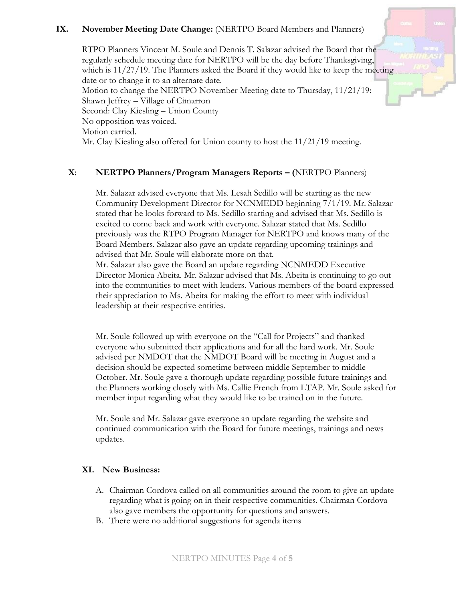# **IX. November Meeting Date Change:** (NERTPO Board Members and Planners)

RTPO Planners Vincent M. Soule and Dennis T. Salazar advised the Board that the regularly schedule meeting date for NERTPO will be the day before Thanksgiving, which is 11/27/19. The Planners asked the Board if they would like to keep the meeting date or to change it to an alternate date. Motion to change the NERTPO November Meeting date to Thursday, 11/21/19: Shawn Jeffrey – Village of Cimarron Second: Clay Kiesling – Union County No opposition was voiced. Motion carried. Mr. Clay Kiesling also offered for Union county to host the 11/21/19 meeting.

## **X**: **NERTPO Planners/Program Managers Reports – (**NERTPO Planners)

Mr. Salazar advised everyone that Ms. Lesah Sedillo will be starting as the new Community Development Director for NCNMEDD beginning 7/1/19. Mr. Salazar stated that he looks forward to Ms. Sedillo starting and advised that Ms. Sedillo is excited to come back and work with everyone. Salazar stated that Ms. Sedillo previously was the RTPO Program Manager for NERTPO and knows many of the Board Members. Salazar also gave an update regarding upcoming trainings and advised that Mr. Soule will elaborate more on that.

Mr. Salazar also gave the Board an update regarding NCNMEDD Executive Director Monica Abeita. Mr. Salazar advised that Ms. Abeita is continuing to go out into the communities to meet with leaders. Various members of the board expressed their appreciation to Ms. Abeita for making the effort to meet with individual leadership at their respective entities.

Mr. Soule followed up with everyone on the "Call for Projects" and thanked everyone who submitted their applications and for all the hard work. Mr. Soule advised per NMDOT that the NMDOT Board will be meeting in August and a decision should be expected sometime between middle September to middle October. Mr. Soule gave a thorough update regarding possible future trainings and the Planners working closely with Ms. Callie French from LTAP. Mr. Soule asked for member input regarding what they would like to be trained on in the future.

Mr. Soule and Mr. Salazar gave everyone an update regarding the website and continued communication with the Board for future meetings, trainings and news updates.

## **XI. New Business:**

- A. Chairman Cordova called on all communities around the room to give an update regarding what is going on in their respective communities. Chairman Cordova also gave members the opportunity for questions and answers.
- B. There were no additional suggestions for agenda items